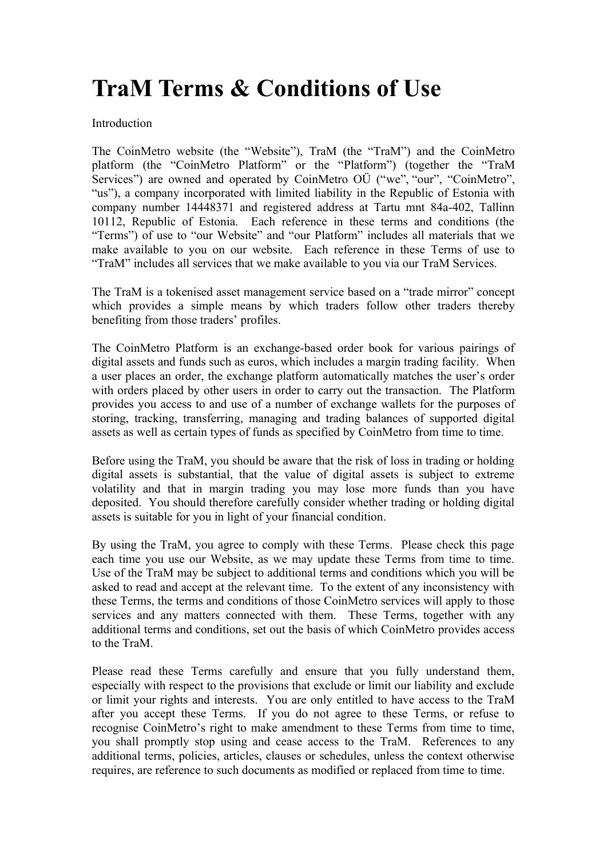# **TraM Terms & Conditions of Use**

# Introduction

The CoinMetro website (the "Website"), TraM (the "TraM") and the CoinMetro platform (the "CoinMetro Platform" or the "Platform") (together the "TraM Services") are owned and operated by CoinMetro OÜ ("we", "our", "CoinMetro", "us"), a company incorporated with limited liability in the Republic of Estonia with company number 14448371 and registered address at Tartu mnt 84a-402, Tallinn 10112, Republic of Estonia. Each reference in these terms and conditions (the "Terms") of use to "our Website" and "our Platform" includes all materials that we make available to you on our website. Each reference in these Terms of use to "TraM" includes all services that we make available to you via our TraM Services.

The TraM is a tokenised asset management service based on a "trade mirror" concept which provides a simple means by which traders follow other traders thereby benefiting from those traders' profiles.

The CoinMetro Platform is an exchange-based order book for various pairings of digital assets and funds such as euros, which includes a margin trading facility. When a user places an order, the exchange platform automatically matches the user's order with orders placed by other users in order to carry out the transaction. The Platform provides you access to and use of a number of exchange wallets for the purposes of storing, tracking, transferring, managing and trading balances of supported digital assets as well as certain types of funds as specified by CoinMetro from time to time.

Before using the TraM, you should be aware that the risk of loss in trading or holding digital assets is substantial, that the value of digital assets is subject to extreme volatility and that in margin trading you may lose more funds than you have deposited. You should therefore carefully consider whether trading or holding digital assets is suitable for you in light of your financial condition.

By using the TraM, you agree to comply with these Terms. Please check this page each time you use our Website, as we may update these Terms from time to time. Use of the TraM may be subject to additional terms and conditions which you will be asked to read and accept at the relevant time. To the extent of any inconsistency with these Terms, the terms and conditions of those CoinMetro services will apply to those services and any matters connected with them. These Terms, together with any additional terms and conditions, set out the basis of which CoinMetro provides access to the TraM.

Please read these Terms carefully and ensure that you fully understand them, especially with respect to the provisions that exclude or limit our liability and exclude or limit your rights and interests. You are only entitled to have access to the TraM after you accept these Terms. If you do not agree to these Terms, or refuse to recognise CoinMetro's right to make amendment to these Terms from time to time, you shall promptly stop using and cease access to the TraM. References to any additional terms, policies, articles, clauses or schedules, unless the context otherwise requires, are reference to such documents as modified or replaced from time to time.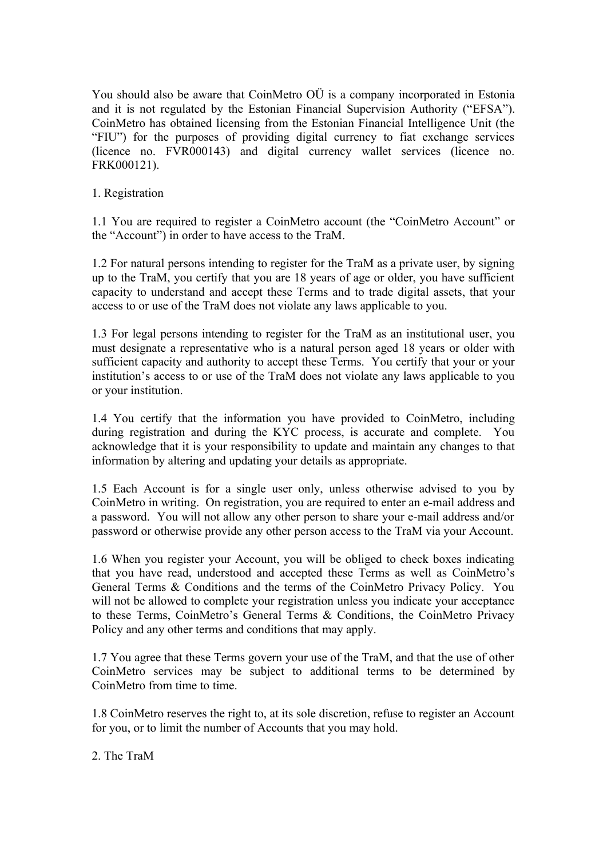You should also be aware that CoinMetro OÜ is a company incorporated in Estonia and it is not regulated by the Estonian Financial Supervision Authority ("EFSA"). CoinMetro has obtained licensing from the Estonian Financial Intelligence Unit (the "FIU") for the purposes of providing digital currency to fiat exchange services (licence no. FVR000143) and digital currency wallet services (licence no. FRK000121).

1. Registration

1.1 You are required to register a CoinMetro account (the "CoinMetro Account" or the "Account") in order to have access to the TraM.

1.2 For natural persons intending to register for the TraM as a private user, by signing up to the TraM, you certify that you are 18 years of age or older, you have sufficient capacity to understand and accept these Terms and to trade digital assets, that your access to or use of the TraM does not violate any laws applicable to you.

1.3 For legal persons intending to register for the TraM as an institutional user, you must designate a representative who is a natural person aged 18 years or older with sufficient capacity and authority to accept these Terms. You certify that your or your institution's access to or use of the TraM does not violate any laws applicable to you or your institution.

1.4 You certify that the information you have provided to CoinMetro, including during registration and during the KYC process, is accurate and complete. You acknowledge that it is your responsibility to update and maintain any changes to that information by altering and updating your details as appropriate.

1.5 Each Account is for a single user only, unless otherwise advised to you by CoinMetro in writing. On registration, you are required to enter an e-mail address and a password. You will not allow any other person to share your e-mail address and/or password or otherwise provide any other person access to the TraM via your Account.

1.6 When you register your Account, you will be obliged to check boxes indicating that you have read, understood and accepted these Terms as well as CoinMetro's General Terms & Conditions and the terms of the CoinMetro Privacy Policy. You will not be allowed to complete your registration unless you indicate your acceptance to these Terms, CoinMetro's General Terms & Conditions, the CoinMetro Privacy Policy and any other terms and conditions that may apply.

1.7 You agree that these Terms govern your use of the TraM, and that the use of other CoinMetro services may be subject to additional terms to be determined by CoinMetro from time to time.

1.8 CoinMetro reserves the right to, at its sole discretion, refuse to register an Account for you, or to limit the number of Accounts that you may hold.

2. The TraM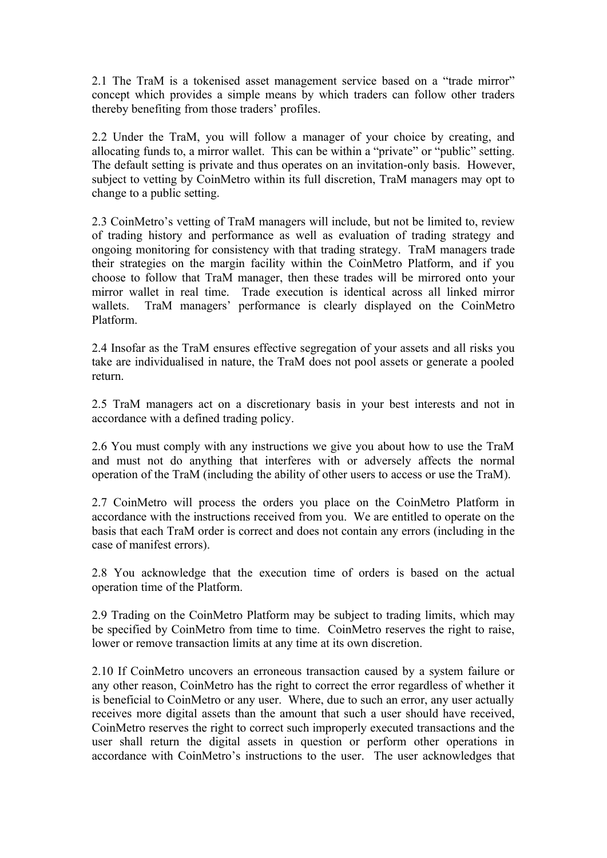2.1 The TraM is a tokenised asset management service based on a "trade mirror" concept which provides a simple means by which traders can follow other traders thereby benefiting from those traders' profiles.

2.2 Under the TraM, you will follow a manager of your choice by creating, and allocating funds to, a mirror wallet. This can be within a "private" or "public" setting. The default setting is private and thus operates on an invitation-only basis. However, subject to vetting by CoinMetro within its full discretion, TraM managers may opt to change to a public setting.

2.3 CoinMetro's vetting of TraM managers will include, but not be limited to, review of trading history and performance as well as evaluation of trading strategy and ongoing monitoring for consistency with that trading strategy. TraM managers trade their strategies on the margin facility within the CoinMetro Platform, and if you choose to follow that TraM manager, then these trades will be mirrored onto your mirror wallet in real time. Trade execution is identical across all linked mirror wallets. TraM managers' performance is clearly displayed on the CoinMetro Platform.

2.4 Insofar as the TraM ensures effective segregation of your assets and all risks you take are individualised in nature, the TraM does not pool assets or generate a pooled return.

2.5 TraM managers act on a discretionary basis in your best interests and not in accordance with a defined trading policy.

2.6 You must comply with any instructions we give you about how to use the TraM and must not do anything that interferes with or adversely affects the normal operation of the TraM (including the ability of other users to access or use the TraM).

2.7 CoinMetro will process the orders you place on the CoinMetro Platform in accordance with the instructions received from you. We are entitled to operate on the basis that each TraM order is correct and does not contain any errors (including in the case of manifest errors).

2.8 You acknowledge that the execution time of orders is based on the actual operation time of the Platform.

2.9 Trading on the CoinMetro Platform may be subject to trading limits, which may be specified by CoinMetro from time to time. CoinMetro reserves the right to raise, lower or remove transaction limits at any time at its own discretion.

2.10 If CoinMetro uncovers an erroneous transaction caused by a system failure or any other reason, CoinMetro has the right to correct the error regardless of whether it is beneficial to CoinMetro or any user. Where, due to such an error, any user actually receives more digital assets than the amount that such a user should have received, CoinMetro reserves the right to correct such improperly executed transactions and the user shall return the digital assets in question or perform other operations in accordance with CoinMetro's instructions to the user. The user acknowledges that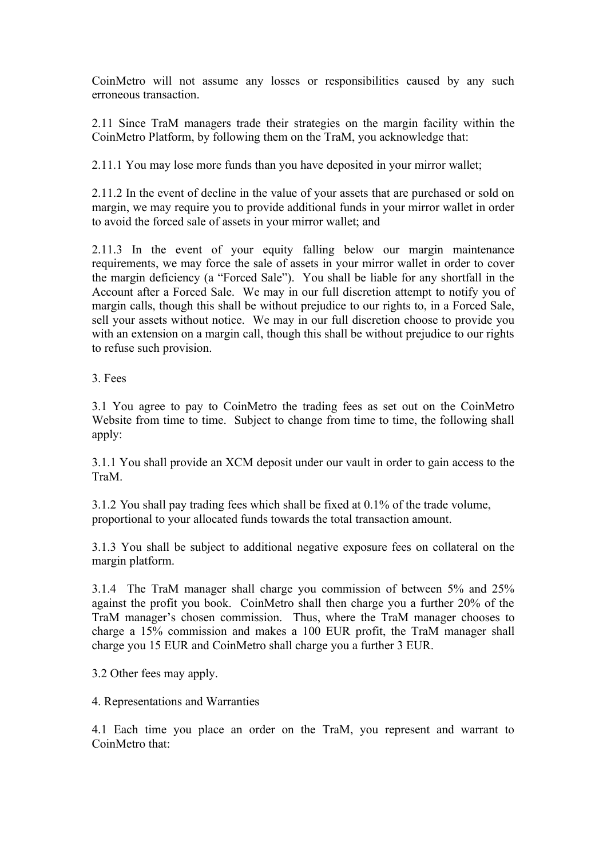CoinMetro will not assume any losses or responsibilities caused by any such erroneous transaction.

2.11 Since TraM managers trade their strategies on the margin facility within the CoinMetro Platform, by following them on the TraM, you acknowledge that:

2.11.1 You may lose more funds than you have deposited in your mirror wallet;

2.11.2 In the event of decline in the value of your assets that are purchased or sold on margin, we may require you to provide additional funds in your mirror wallet in order to avoid the forced sale of assets in your mirror wallet; and

2.11.3 In the event of your equity falling below our margin maintenance requirements, we may force the sale of assets in your mirror wallet in order to cover the margin deficiency (a "Forced Sale"). You shall be liable for any shortfall in the Account after a Forced Sale. We may in our full discretion attempt to notify you of margin calls, though this shall be without prejudice to our rights to, in a Forced Sale, sell your assets without notice. We may in our full discretion choose to provide you with an extension on a margin call, though this shall be without prejudice to our rights to refuse such provision.

3. Fees

3.1 You agree to pay to CoinMetro the trading fees as set out on the CoinMetro Website from time to time. Subject to change from time to time, the following shall apply:

3.1.1 You shall provide an XCM deposit under our vault in order to gain access to the TraM.

 3.1.2 You shall pay trading fees which shall be fixed at 0.1% of the trade volume, proportional to your allocated funds towards the total transaction amount.

3.1.3 You shall be subject to additional negative exposure fees on collateral on the margin platform.

3.1.4 The TraM manager shall charge you commission of between 5% and 25% against the profit you book. CoinMetro shall then charge you a further 20% of the TraM manager's chosen commission. Thus, where the TraM manager chooses to charge a 15% commission and makes a 100 EUR profit, the TraM manager shall charge you 15 EUR and CoinMetro shall charge you a further 3 EUR.

3.2 Other fees may apply.

4. Representations and Warranties

4.1 Each time you place an order on the TraM, you represent and warrant to CoinMetro that: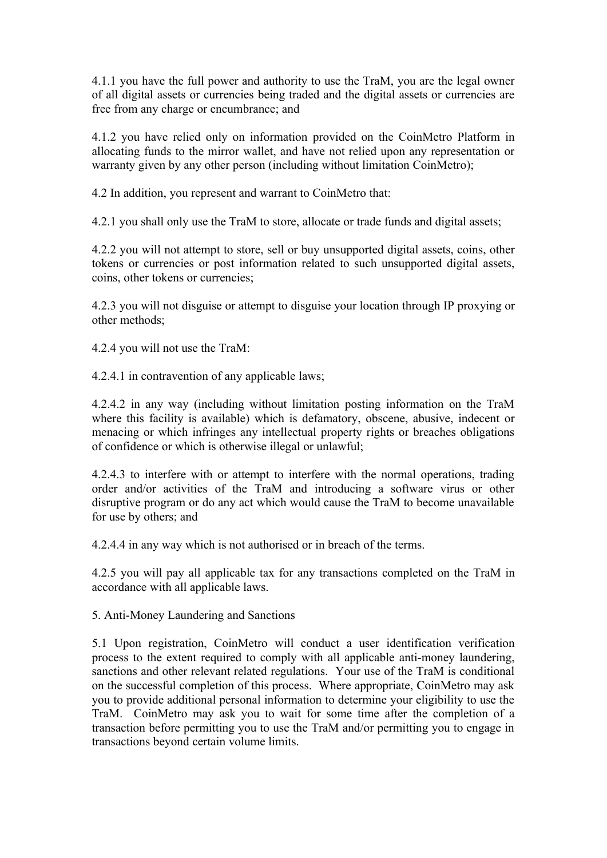4.1.1 you have the full power and authority to use the TraM, you are the legal owner of all digital assets or currencies being traded and the digital assets or currencies are free from any charge or encumbrance; and

4.1.2 you have relied only on information provided on the CoinMetro Platform in allocating funds to the mirror wallet, and have not relied upon any representation or warranty given by any other person (including without limitation CoinMetro);

4.2 In addition, you represent and warrant to CoinMetro that:

4.2.1 you shall only use the TraM to store, allocate or trade funds and digital assets;

4.2.2 you will not attempt to store, sell or buy unsupported digital assets, coins, other tokens or currencies or post information related to such unsupported digital assets, coins, other tokens or currencies;

4.2.3 you will not disguise or attempt to disguise your location through IP proxying or other methods;

4.2.4 you will not use the TraM:

4.2.4.1 in contravention of any applicable laws;

4.2.4.2 in any way (including without limitation posting information on the TraM where this facility is available) which is defamatory, obscene, abusive, indecent or menacing or which infringes any intellectual property rights or breaches obligations of confidence or which is otherwise illegal or unlawful;

4.2.4.3 to interfere with or attempt to interfere with the normal operations, trading order and/or activities of the TraM and introducing a software virus or other disruptive program or do any act which would cause the TraM to become unavailable for use by others; and

4.2.4.4 in any way which is not authorised or in breach of the terms.

4.2.5 you will pay all applicable tax for any transactions completed on the TraM in accordance with all applicable laws.

5. Anti-Money Laundering and Sanctions

5.1 Upon registration, CoinMetro will conduct a user identification verification process to the extent required to comply with all applicable anti-money laundering, sanctions and other relevant related regulations. Your use of the TraM is conditional on the successful completion of this process. Where appropriate, CoinMetro may ask you to provide additional personal information to determine your eligibility to use the TraM. CoinMetro may ask you to wait for some time after the completion of a transaction before permitting you to use the TraM and/or permitting you to engage in transactions beyond certain volume limits.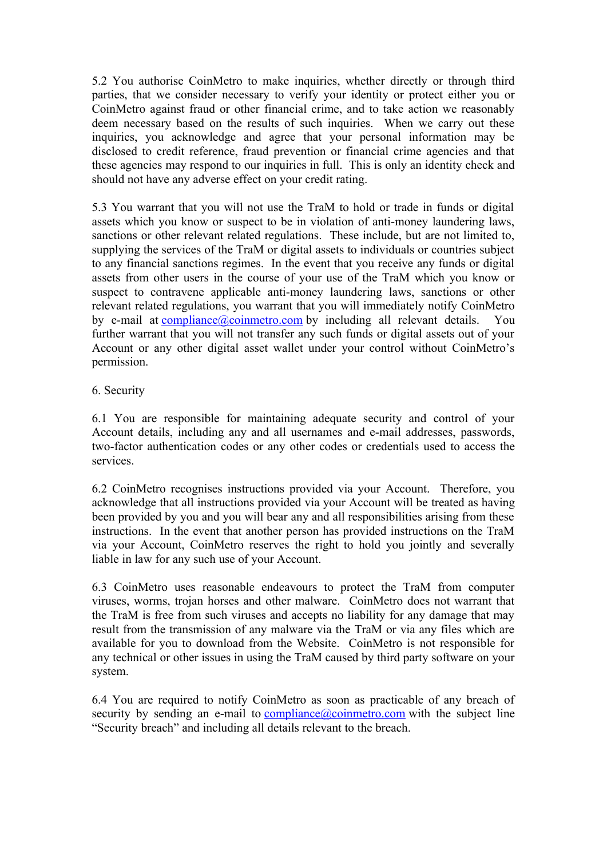5.2 You authorise CoinMetro to make inquiries, whether directly or through third parties, that we consider necessary to verify your identity or protect either you or CoinMetro against fraud or other financial crime, and to take action we reasonably deem necessary based on the results of such inquiries. When we carry out these inquiries, you acknowledge and agree that your personal information may be disclosed to credit reference, fraud prevention or financial crime agencies and that these agencies may respond to our inquiries in full. This is only an identity check and should not have any adverse effect on your credit rating.

5.3 You warrant that you will not use the TraM to hold or trade in funds or digital assets which you know or suspect to be in violation of anti-money laundering laws, sanctions or other relevant related regulations. These include, but are not limited to, supplying the services of the TraM or digital assets to individuals or countries subject to any financial sanctions regimes. In the event that you receive any funds or digital assets from other users in the course of your use of the TraM which you know or suspect to contravene applicable anti-money laundering laws, sanctions or other relevant related regulations, you warrant that you will immediately notify CoinMetro by e-mail at [compliance@coinmetro.com](mailto:compliance@coinmetro.com) by including all relevant details. You further warrant that you will not transfer any such funds or digital assets out of your Account or any other digital asset wallet under your control without CoinMetro's permission.

# 6. Security

6.1 You are responsible for maintaining adequate security and control of your Account details, including any and all usernames and e-mail addresses, passwords, two-factor authentication codes or any other codes or credentials used to access the services.

6.2 CoinMetro recognises instructions provided via your Account. Therefore, you acknowledge that all instructions provided via your Account will be treated as having been provided by you and you will bear any and all responsibilities arising from these instructions. In the event that another person has provided instructions on the TraM via your Account, CoinMetro reserves the right to hold you jointly and severally liable in law for any such use of your Account.

6.3 CoinMetro uses reasonable endeavours to protect the TraM from computer viruses, worms, trojan horses and other malware. CoinMetro does not warrant that the TraM is free from such viruses and accepts no liability for any damage that may result from the transmission of any malware via the TraM or via any files which are available for you to download from the Website. CoinMetro is not responsible for any technical or other issues in using the TraM caused by third party software on your system.

6.4 You are required to notify CoinMetro as soon as practicable of any breach of security by sending an e-mail to  $\overline{compliance}$  (*a*) coinmetro.com with the subject line "Security breach" and including all details relevant to the breach.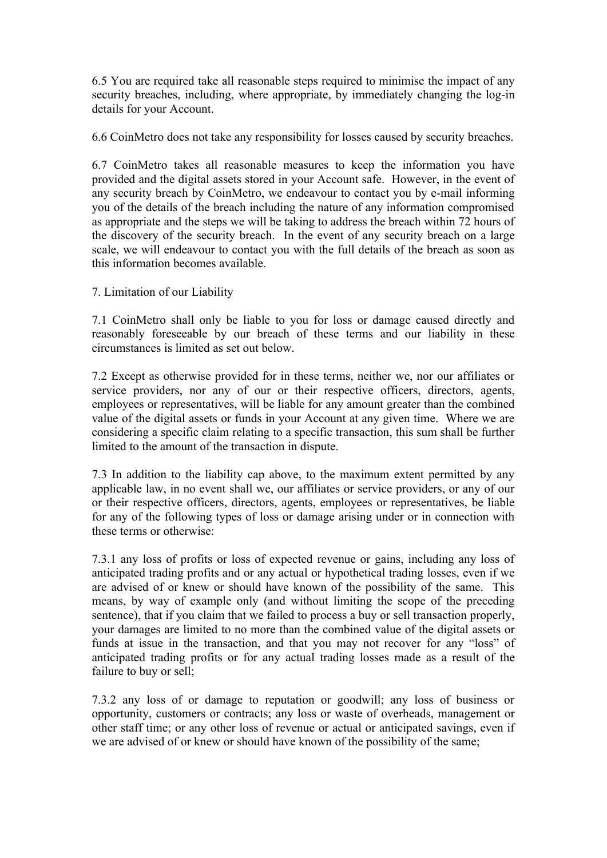6.5 You are required take all reasonable steps required to minimise the impact of any security breaches, including, where appropriate, by immediately changing the log-in details for your Account.

6.6 CoinMetro does not take any responsibility for losses caused by security breaches.

6.7 CoinMetro takes all reasonable measures to keep the information you have provided and the digital assets stored in your Account safe. However, in the event of any security breach by CoinMetro, we endeavour to contact you by e-mail informing you of the details of the breach including the nature of any information compromised as appropriate and the steps we will be taking to address the breach within 72 hours of the discovery of the security breach. In the event of any security breach on a large scale, we will endeavour to contact you with the full details of the breach as soon as this information becomes available.

7. Limitation of our Liability

7.1 CoinMetro shall only be liable to you for loss or damage caused directly and reasonably foreseeable by our breach of these terms and our liability in these circumstances is limited as set out below.

7.2 Except as otherwise provided for in these terms, neither we, nor our affiliates or service providers, nor any of our or their respective officers, directors, agents, employees or representatives, will be liable for any amount greater than the combined value of the digital assets or funds in your Account at any given time. Where we are considering a specific claim relating to a specific transaction, this sum shall be further limited to the amount of the transaction in dispute.

7.3 In addition to the liability cap above, to the maximum extent permitted by any applicable law, in no event shall we, our affiliates or service providers, or any of our or their respective officers, directors, agents, employees or representatives, be liable for any of the following types of loss or damage arising under or in connection with these terms or otherwise:

7.3.1 any loss of profits or loss of expected revenue or gains, including any loss of anticipated trading profits and or any actual or hypothetical trading losses, even if we are advised of or knew or should have known of the possibility of the same. This means, by way of example only (and without limiting the scope of the preceding sentence), that if you claim that we failed to process a buy or sell transaction properly, your damages are limited to no more than the combined value of the digital assets or funds at issue in the transaction, and that you may not recover for any "loss" of anticipated trading profits or for any actual trading losses made as a result of the failure to buy or sell;

7.3.2 any loss of or damage to reputation or goodwill; any loss of business or opportunity, customers or contracts; any loss or waste of overheads, management or other staff time; or any other loss of revenue or actual or anticipated savings, even if we are advised of or knew or should have known of the possibility of the same;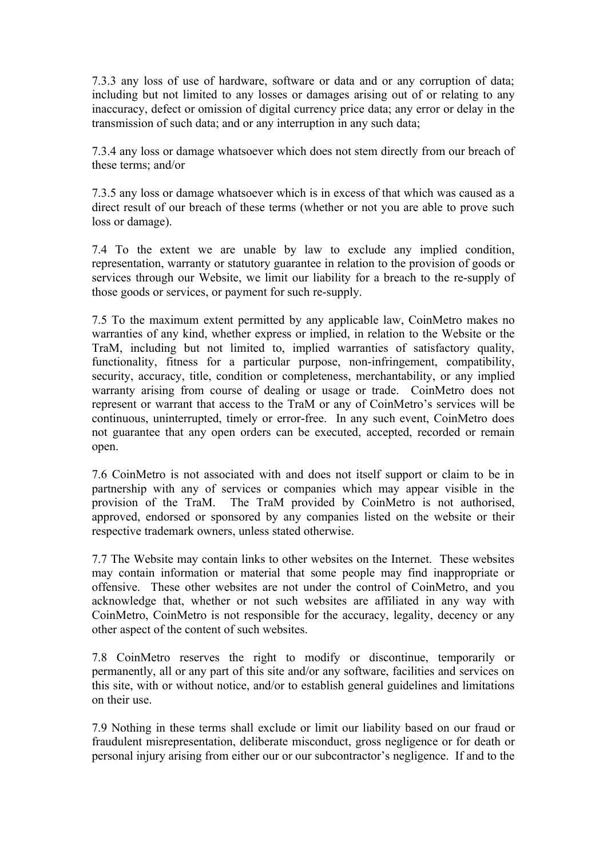7.3.3 any loss of use of hardware, software or data and or any corruption of data; including but not limited to any losses or damages arising out of or relating to any inaccuracy, defect or omission of digital currency price data; any error or delay in the transmission of such data; and or any interruption in any such data;

7.3.4 any loss or damage whatsoever which does not stem directly from our breach of these terms; and/or

7.3.5 any loss or damage whatsoever which is in excess of that which was caused as a direct result of our breach of these terms (whether or not you are able to prove such loss or damage).

7.4 To the extent we are unable by law to exclude any implied condition, representation, warranty or statutory guarantee in relation to the provision of goods or services through our Website, we limit our liability for a breach to the re-supply of those goods or services, or payment for such re-supply.

7.5 To the maximum extent permitted by any applicable law, CoinMetro makes no warranties of any kind, whether express or implied, in relation to the Website or the TraM, including but not limited to, implied warranties of satisfactory quality, functionality, fitness for a particular purpose, non-infringement, compatibility, security, accuracy, title, condition or completeness, merchantability, or any implied warranty arising from course of dealing or usage or trade. CoinMetro does not represent or warrant that access to the TraM or any of CoinMetro's services will be continuous, uninterrupted, timely or error-free. In any such event, CoinMetro does not guarantee that any open orders can be executed, accepted, recorded or remain open.

7.6 CoinMetro is not associated with and does not itself support or claim to be in partnership with any of services or companies which may appear visible in the provision of the TraM. The TraM provided by CoinMetro is not authorised, approved, endorsed or sponsored by any companies listed on the website or their respective trademark owners, unless stated otherwise.

7.7 The Website may contain links to other websites on the Internet. These websites may contain information or material that some people may find inappropriate or offensive. These other websites are not under the control of CoinMetro, and you acknowledge that, whether or not such websites are affiliated in any way with CoinMetro, CoinMetro is not responsible for the accuracy, legality, decency or any other aspect of the content of such websites.

7.8 CoinMetro reserves the right to modify or discontinue, temporarily or permanently, all or any part of this site and/or any software, facilities and services on this site, with or without notice, and/or to establish general guidelines and limitations on their use.

7.9 Nothing in these terms shall exclude or limit our liability based on our fraud or fraudulent misrepresentation, deliberate misconduct, gross negligence or for death or personal injury arising from either our or our subcontractor's negligence. If and to the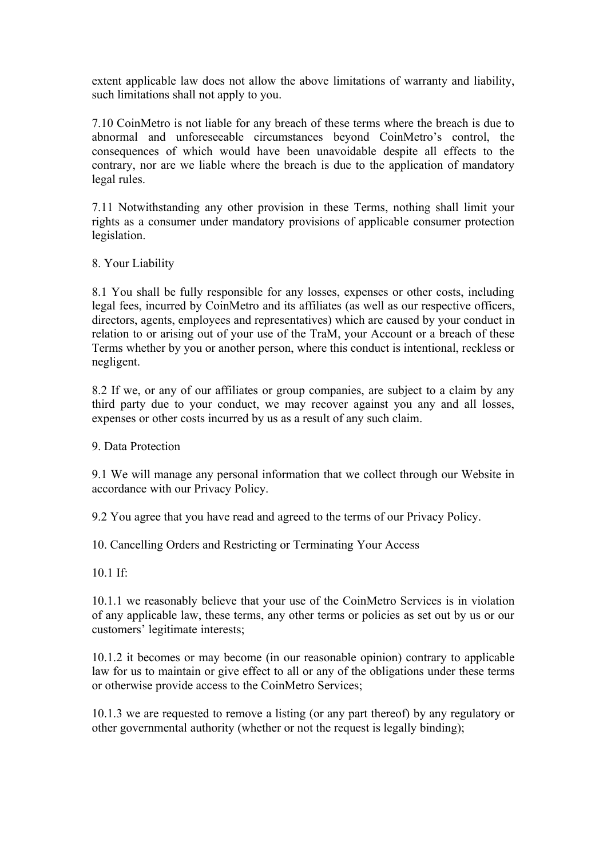extent applicable law does not allow the above limitations of warranty and liability, such limitations shall not apply to you.

7.10 CoinMetro is not liable for any breach of these terms where the breach is due to abnormal and unforeseeable circumstances beyond CoinMetro's control, the consequences of which would have been unavoidable despite all effects to the contrary, nor are we liable where the breach is due to the application of mandatory legal rules.

7.11 Notwithstanding any other provision in these Terms, nothing shall limit your rights as a consumer under mandatory provisions of applicable consumer protection legislation.

8. Your Liability

8.1 You shall be fully responsible for any losses, expenses or other costs, including legal fees, incurred by CoinMetro and its affiliates (as well as our respective officers, directors, agents, employees and representatives) which are caused by your conduct in relation to or arising out of your use of the TraM, your Account or a breach of these Terms whether by you or another person, where this conduct is intentional, reckless or negligent.

8.2 If we, or any of our affiliates or group companies, are subject to a claim by any third party due to your conduct, we may recover against you any and all losses, expenses or other costs incurred by us as a result of any such claim.

9. Data Protection

9.1 We will manage any personal information that we collect through our Website in accordance with our Privacy Policy.

9.2 You agree that you have read and agreed to the terms of our Privacy Policy.

10. Cancelling Orders and Restricting or Terminating Your Access

10.1 If:

10.1.1 we reasonably believe that your use of the CoinMetro Services is in violation of any applicable law, these terms, any other terms or policies as set out by us or our customers' legitimate interests;

10.1.2 it becomes or may become (in our reasonable opinion) contrary to applicable law for us to maintain or give effect to all or any of the obligations under these terms or otherwise provide access to the CoinMetro Services;

10.1.3 we are requested to remove a listing (or any part thereof) by any regulatory or other governmental authority (whether or not the request is legally binding);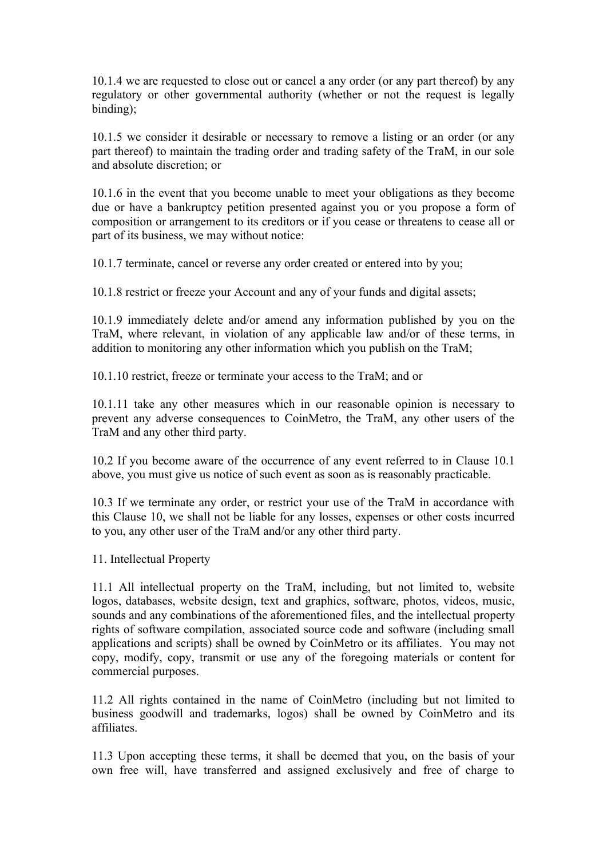10.1.4 we are requested to close out or cancel a any order (or any part thereof) by any regulatory or other governmental authority (whether or not the request is legally binding);

10.1.5 we consider it desirable or necessary to remove a listing or an order (or any part thereof) to maintain the trading order and trading safety of the TraM, in our sole and absolute discretion; or

10.1.6 in the event that you become unable to meet your obligations as they become due or have a bankruptcy petition presented against you or you propose a form of composition or arrangement to its creditors or if you cease or threatens to cease all or part of its business, we may without notice:

10.1.7 terminate, cancel or reverse any order created or entered into by you;

10.1.8 restrict or freeze your Account and any of your funds and digital assets;

10.1.9 immediately delete and/or amend any information published by you on the TraM, where relevant, in violation of any applicable law and/or of these terms, in addition to monitoring any other information which you publish on the TraM;

10.1.10 restrict, freeze or terminate your access to the TraM; and or

10.1.11 take any other measures which in our reasonable opinion is necessary to prevent any adverse consequences to CoinMetro, the TraM, any other users of the TraM and any other third party.

10.2 If you become aware of the occurrence of any event referred to in Clause 10.1 above, you must give us notice of such event as soon as is reasonably practicable.

10.3 If we terminate any order, or restrict your use of the TraM in accordance with this Clause 10, we shall not be liable for any losses, expenses or other costs incurred to you, any other user of the TraM and/or any other third party.

11. Intellectual Property

11.1 All intellectual property on the TraM, including, but not limited to, website logos, databases, website design, text and graphics, software, photos, videos, music, sounds and any combinations of the aforementioned files, and the intellectual property rights of software compilation, associated source code and software (including small applications and scripts) shall be owned by CoinMetro or its affiliates. You may not copy, modify, copy, transmit or use any of the foregoing materials or content for commercial purposes.

11.2 All rights contained in the name of CoinMetro (including but not limited to business goodwill and trademarks, logos) shall be owned by CoinMetro and its affiliates.

11.3 Upon accepting these terms, it shall be deemed that you, on the basis of your own free will, have transferred and assigned exclusively and free of charge to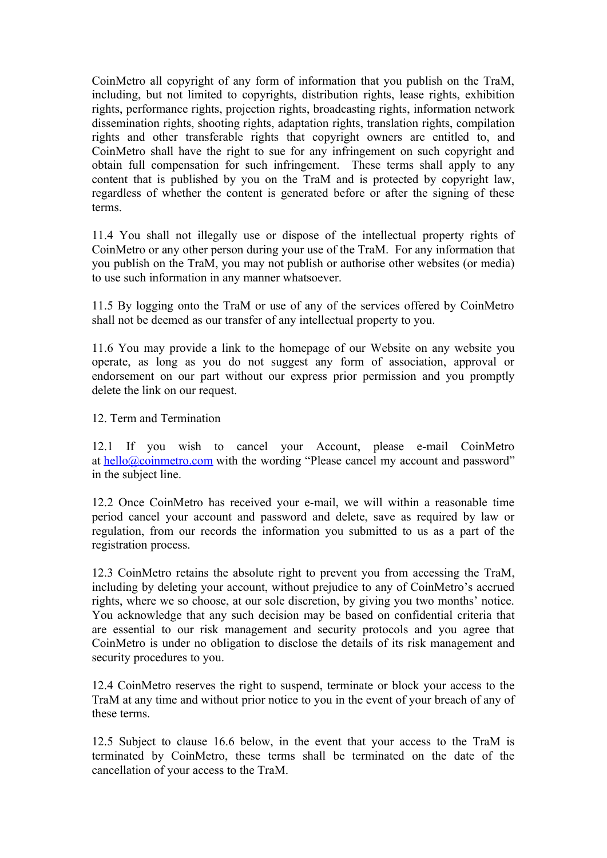CoinMetro all copyright of any form of information that you publish on the TraM, including, but not limited to copyrights, distribution rights, lease rights, exhibition rights, performance rights, projection rights, broadcasting rights, information network dissemination rights, shooting rights, adaptation rights, translation rights, compilation rights and other transferable rights that copyright owners are entitled to, and CoinMetro shall have the right to sue for any infringement on such copyright and obtain full compensation for such infringement. These terms shall apply to any content that is published by you on the TraM and is protected by copyright law, regardless of whether the content is generated before or after the signing of these terms.

11.4 You shall not illegally use or dispose of the intellectual property rights of CoinMetro or any other person during your use of the TraM. For any information that you publish on the TraM, you may not publish or authorise other websites (or media) to use such information in any manner whatsoever.

11.5 By logging onto the TraM or use of any of the services offered by CoinMetro shall not be deemed as our transfer of any intellectual property to you.

11.6 You may provide a link to the homepage of our Website on any website you operate, as long as you do not suggest any form of association, approval or endorsement on our part without our express prior permission and you promptly delete the link on our request.

12. Term and Termination

12.1 If you wish to cancel your Account, please e-mail CoinMetro at  $\frac{hello@coimmetro.com}{hello@coimmetro.com}$  with the wording "Please cancel my account and password" in the subject line.

12.2 Once CoinMetro has received your e-mail, we will within a reasonable time period cancel your account and password and delete, save as required by law or regulation, from our records the information you submitted to us as a part of the registration process.

12.3 CoinMetro retains the absolute right to prevent you from accessing the TraM, including by deleting your account, without prejudice to any of CoinMetro's accrued rights, where we so choose, at our sole discretion, by giving you two months' notice. You acknowledge that any such decision may be based on confidential criteria that are essential to our risk management and security protocols and you agree that CoinMetro is under no obligation to disclose the details of its risk management and security procedures to you.

12.4 CoinMetro reserves the right to suspend, terminate or block your access to the TraM at any time and without prior notice to you in the event of your breach of any of these terms.

12.5 Subject to clause 16.6 below, in the event that your access to the TraM is terminated by CoinMetro, these terms shall be terminated on the date of the cancellation of your access to the TraM.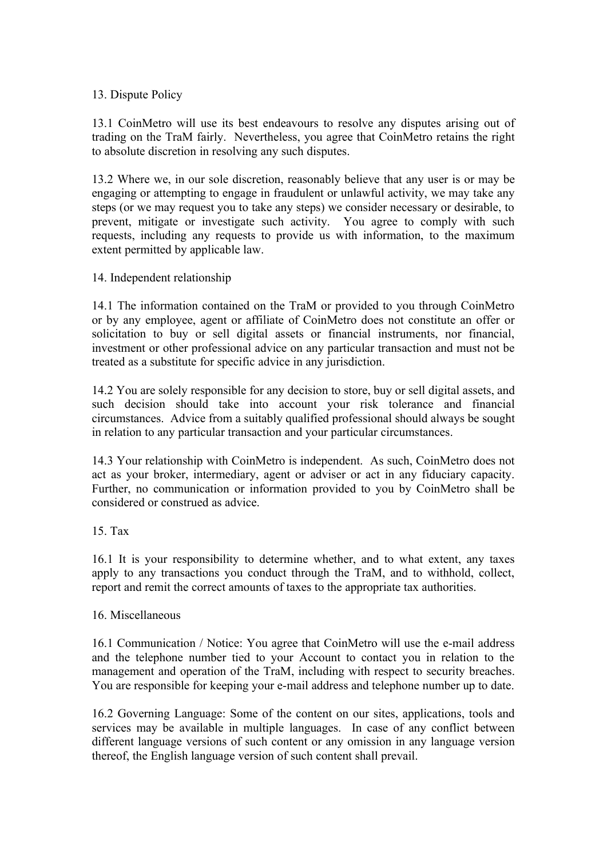# 13. Dispute Policy

13.1 CoinMetro will use its best endeavours to resolve any disputes arising out of trading on the TraM fairly. Nevertheless, you agree that CoinMetro retains the right to absolute discretion in resolving any such disputes.

13.2 Where we, in our sole discretion, reasonably believe that any user is or may be engaging or attempting to engage in fraudulent or unlawful activity, we may take any steps (or we may request you to take any steps) we consider necessary or desirable, to prevent, mitigate or investigate such activity. You agree to comply with such requests, including any requests to provide us with information, to the maximum extent permitted by applicable law.

## 14. Independent relationship

14.1 The information contained on the TraM or provided to you through CoinMetro or by any employee, agent or affiliate of CoinMetro does not constitute an offer or solicitation to buy or sell digital assets or financial instruments, nor financial, investment or other professional advice on any particular transaction and must not be treated as a substitute for specific advice in any jurisdiction.

14.2 You are solely responsible for any decision to store, buy or sell digital assets, and such decision should take into account your risk tolerance and financial circumstances. Advice from a suitably qualified professional should always be sought in relation to any particular transaction and your particular circumstances.

14.3 Your relationship with CoinMetro is independent. As such, CoinMetro does not act as your broker, intermediary, agent or adviser or act in any fiduciary capacity. Further, no communication or information provided to you by CoinMetro shall be considered or construed as advice.

## 15. Tax

16.1 It is your responsibility to determine whether, and to what extent, any taxes apply to any transactions you conduct through the TraM, and to withhold, collect, report and remit the correct amounts of taxes to the appropriate tax authorities.

## 16. Miscellaneous

16.1 Communication / Notice: You agree that CoinMetro will use the e-mail address and the telephone number tied to your Account to contact you in relation to the management and operation of the TraM, including with respect to security breaches. You are responsible for keeping your e-mail address and telephone number up to date.

16.2 Governing Language: Some of the content on our sites, applications, tools and services may be available in multiple languages. In case of any conflict between different language versions of such content or any omission in any language version thereof, the English language version of such content shall prevail.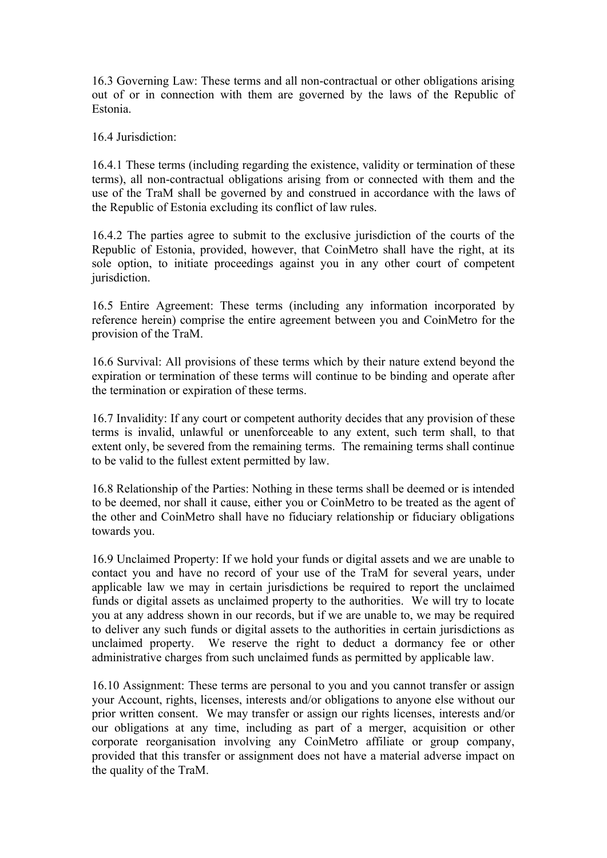16.3 Governing Law: These terms and all non-contractual or other obligations arising out of or in connection with them are governed by the laws of the Republic of Estonia.

16.4 Jurisdiction:

16.4.1 These terms (including regarding the existence, validity or termination of these terms), all non-contractual obligations arising from or connected with them and the use of the TraM shall be governed by and construed in accordance with the laws of the Republic of Estonia excluding its conflict of law rules.

16.4.2 The parties agree to submit to the exclusive jurisdiction of the courts of the Republic of Estonia, provided, however, that CoinMetro shall have the right, at its sole option, to initiate proceedings against you in any other court of competent jurisdiction.

16.5 Entire Agreement: These terms (including any information incorporated by reference herein) comprise the entire agreement between you and CoinMetro for the provision of the TraM.

16.6 Survival: All provisions of these terms which by their nature extend beyond the expiration or termination of these terms will continue to be binding and operate after the termination or expiration of these terms.

16.7 Invalidity: If any court or competent authority decides that any provision of these terms is invalid, unlawful or unenforceable to any extent, such term shall, to that extent only, be severed from the remaining terms. The remaining terms shall continue to be valid to the fullest extent permitted by law.

16.8 Relationship of the Parties: Nothing in these terms shall be deemed or is intended to be deemed, nor shall it cause, either you or CoinMetro to be treated as the agent of the other and CoinMetro shall have no fiduciary relationship or fiduciary obligations towards you.

16.9 Unclaimed Property: If we hold your funds or digital assets and we are unable to contact you and have no record of your use of the TraM for several years, under applicable law we may in certain jurisdictions be required to report the unclaimed funds or digital assets as unclaimed property to the authorities. We will try to locate you at any address shown in our records, but if we are unable to, we may be required to deliver any such funds or digital assets to the authorities in certain jurisdictions as unclaimed property. We reserve the right to deduct a dormancy fee or other administrative charges from such unclaimed funds as permitted by applicable law.

16.10 Assignment: These terms are personal to you and you cannot transfer or assign your Account, rights, licenses, interests and/or obligations to anyone else without our prior written consent. We may transfer or assign our rights licenses, interests and/or our obligations at any time, including as part of a merger, acquisition or other corporate reorganisation involving any CoinMetro affiliate or group company, provided that this transfer or assignment does not have a material adverse impact on the quality of the TraM.